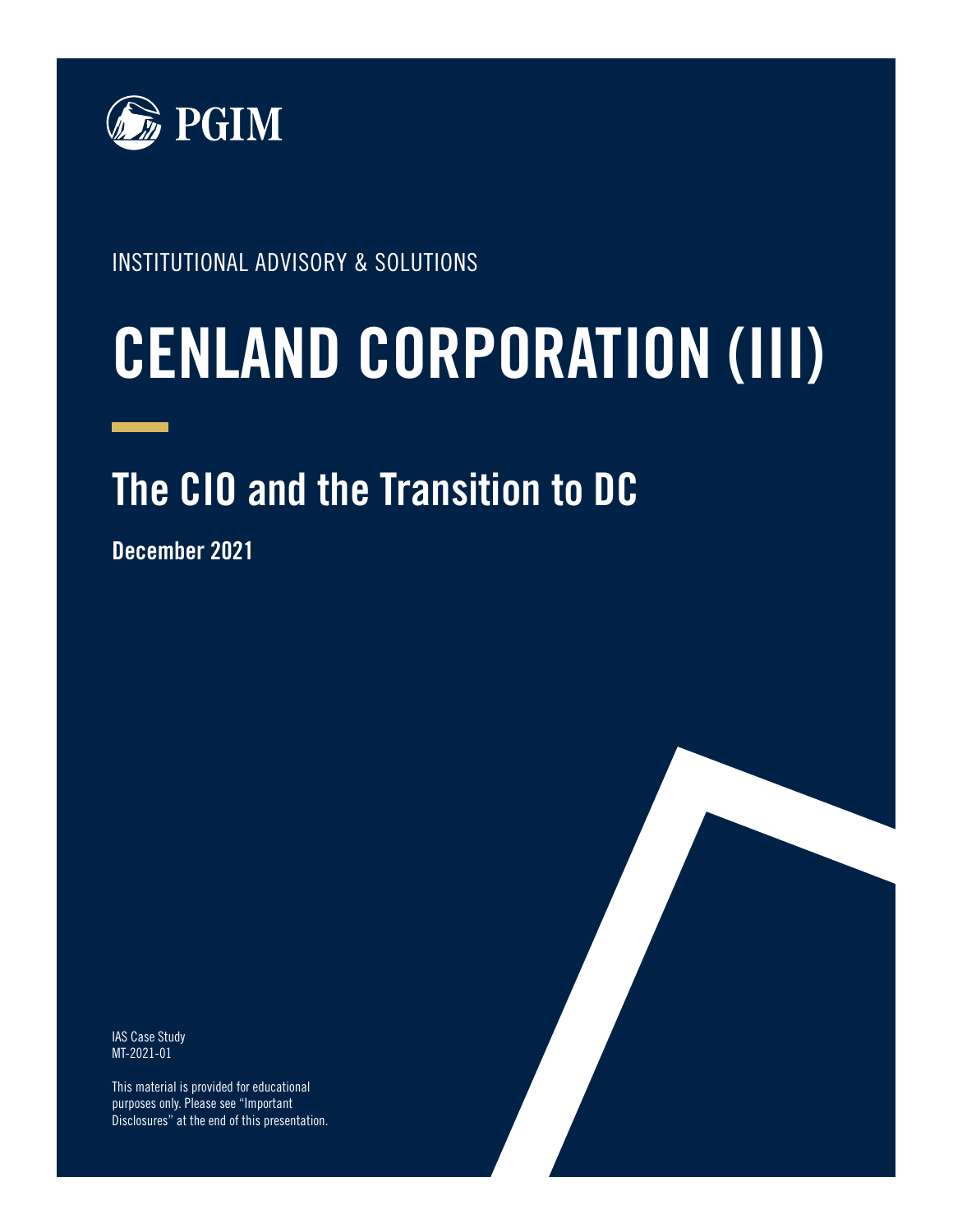

INSTITUTIONAL ADVISORY & SOLUTIONS

# **CENLAND CORPORATION (III)**

# **The CIO and the Transition to DC**

**December 2021**

IAS Case Study MT-2021-01

This material is provided for educational purposes only. Please see "Important Disclosures" at the end of this presentation.

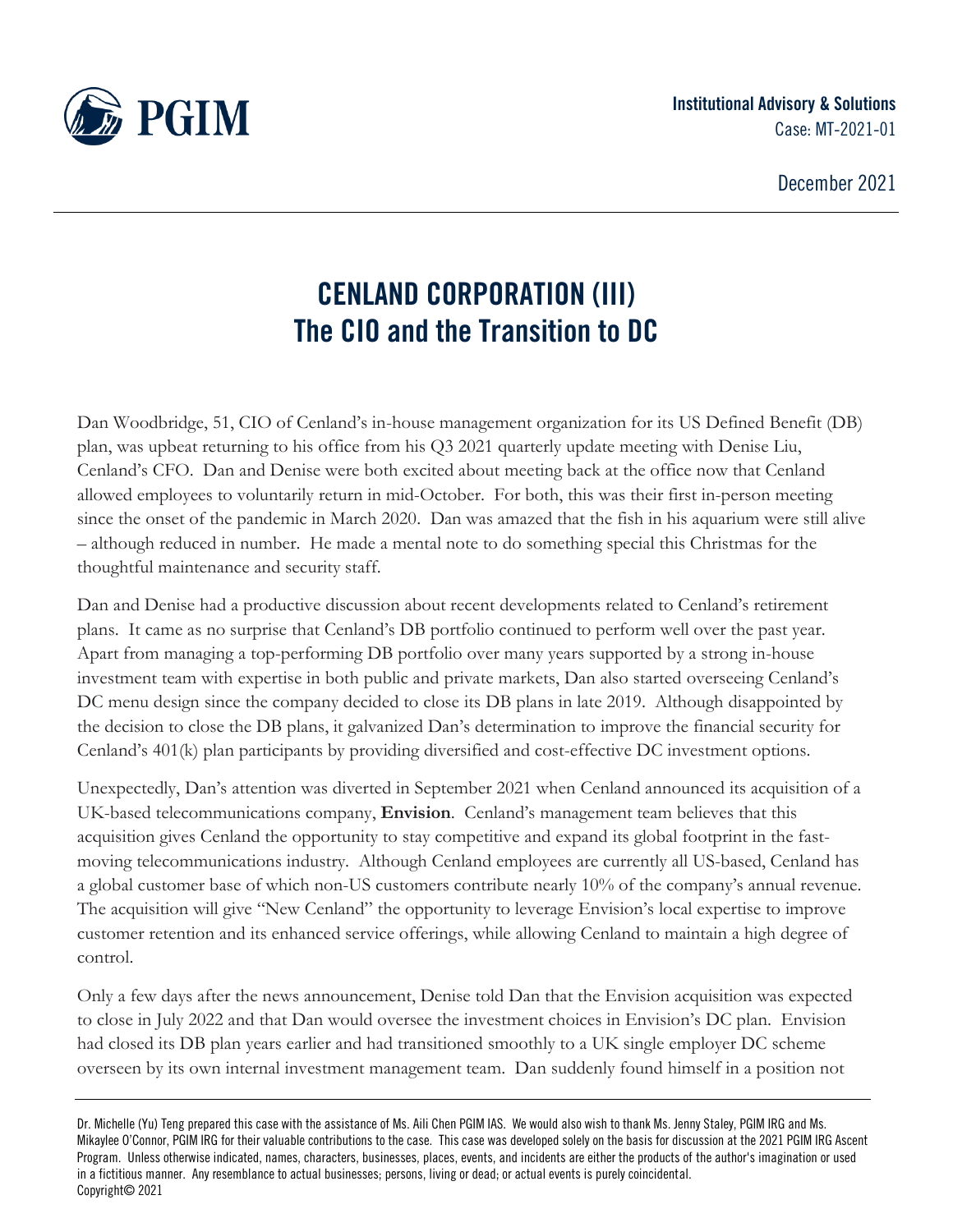

December 2021

# **CENLAND CORPORATION (III) The CIO and the Transition to DC**

Dan Woodbridge, 51, CIO of Cenland's in-house management organization for its US Defined Benefit (DB) plan, was upbeat returning to his office from his Q3 2021 quarterly update meeting with Denise Liu, Cenland's CFO. Dan and Denise were both excited about meeting back at the office now that Cenland allowed employees to voluntarily return in mid-October. For both, this was their first in-person meeting since the onset of the pandemic in March 2020. Dan was amazed that the fish in his aquarium were still alive – although reduced in number. He made a mental note to do something special this Christmas for the thoughtful maintenance and security staff.

Dan and Denise had a productive discussion about recent developments related to Cenland's retirement plans. It came as no surprise that Cenland's DB portfolio continued to perform well over the past year. Apart from managing a top-performing DB portfolio over many years supported by a strong in-house investment team with expertise in both public and private markets, Dan also started overseeing Cenland's DC menu design since the company decided to close its DB plans in late 2019. Although disappointed by the decision to close the DB plans, it galvanized Dan's determination to improve the financial security for Cenland's 401(k) plan participants by providing diversified and cost-effective DC investment options.

Unexpectedly, Dan's attention was diverted in September 2021 when Cenland announced its acquisition of a UK-based telecommunications company, **Envision**. Cenland's management team believes that this acquisition gives Cenland the opportunity to stay competitive and expand its global footprint in the fastmoving telecommunications industry. Although Cenland employees are currently all US-based, Cenland has a global customer base of which non-US customers contribute nearly 10% of the company's annual revenue. The acquisition will give "New Cenland" the opportunity to leverage Envision's local expertise to improve customer retention and its enhanced service offerings, while allowing Cenland to maintain a high degree of control.

Only a few days after the news announcement, Denise told Dan that the Envision acquisition was expected to close in July 2022 and that Dan would oversee the investment choices in Envision's DC plan. Envision had closed its DB plan years earlier and had transitioned smoothly to a UK single employer DC scheme overseen by its own internal investment management team. Dan suddenly found himself in a position not

Dr. Michelle (Yu) Teng prepared this case with the assistance of Ms. Aili Chen PGIM IAS. We would also wish to thank Ms. Jenny Staley, PGIM IRG and Ms. Mikaylee O'Connor, PGIM IRG for their valuable contributions to the case. This case was developed solely on the basis for discussion at the 2021 PGIM IRG Ascent Program. Unless otherwise indicated, names, characters, businesses, places, events, and incidents are either the products of the author's imagination or used in a fictitious manner. Any resemblance to actual businesses; persons, living or dead; or actual events is purely coincidental. Copyright© 2021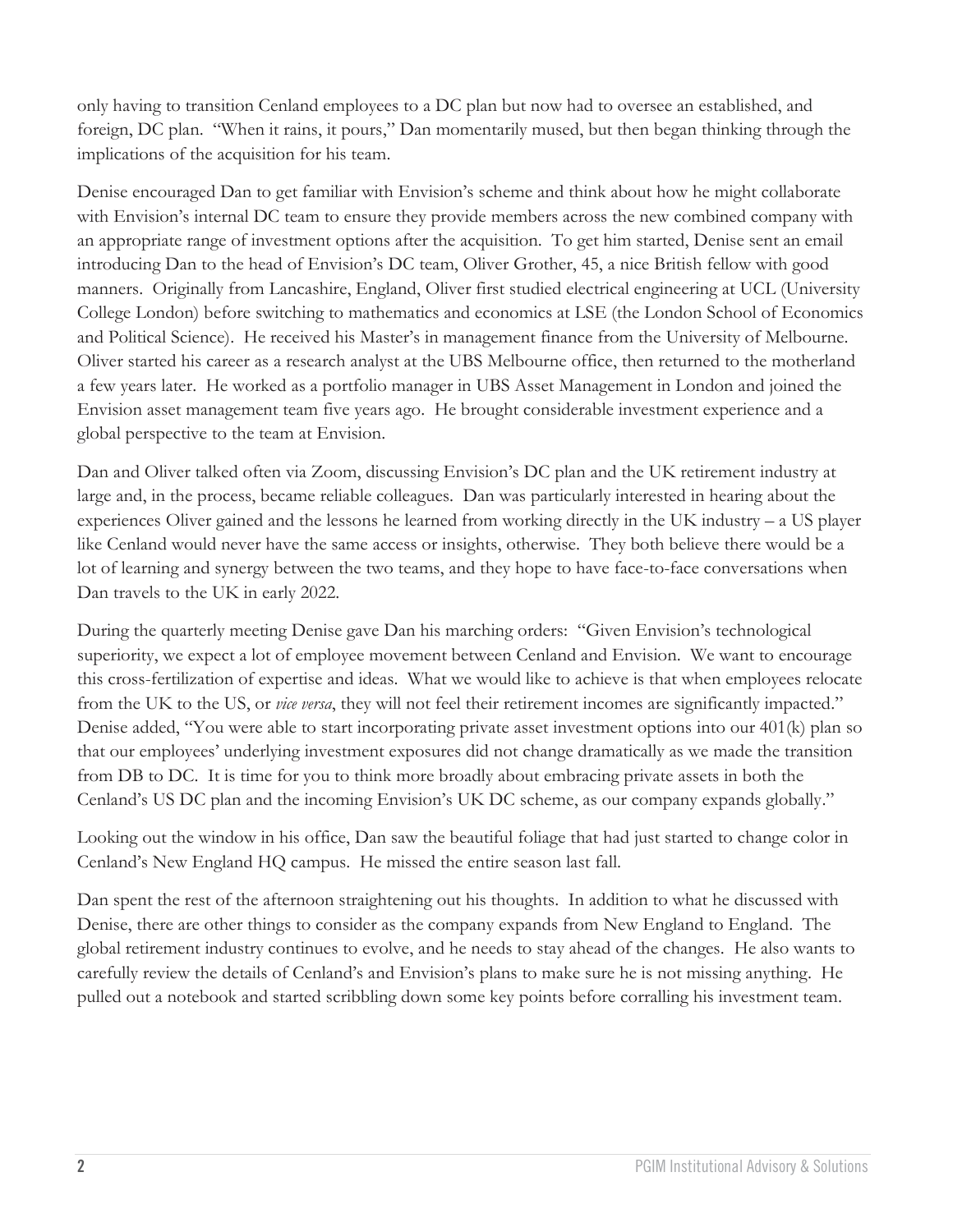only having to transition Cenland employees to a DC plan but now had to oversee an established, and foreign, DC plan. "When it rains, it pours," Dan momentarily mused, but then began thinking through the implications of the acquisition for his team.

Denise encouraged Dan to get familiar with Envision's scheme and think about how he might collaborate with Envision's internal DC team to ensure they provide members across the new combined company with an appropriate range of investment options after the acquisition. To get him started, Denise sent an email introducing Dan to the head of Envision's DC team, Oliver Grother, 45, a nice British fellow with good manners. Originally from Lancashire, England, Oliver first studied electrical engineering at UCL (University College London) before switching to mathematics and economics at LSE (the London School of Economics and Political Science). He received his Master's in management finance from the University of Melbourne. Oliver started his career as a research analyst at the UBS Melbourne office, then returned to the motherland a few years later. He worked as a portfolio manager in UBS Asset Management in London and joined the Envision asset management team five years ago. He brought considerable investment experience and a global perspective to the team at Envision.

Dan and Oliver talked often via Zoom, discussing Envision's DC plan and the UK retirement industry at large and, in the process, became reliable colleagues. Dan was particularly interested in hearing about the experiences Oliver gained and the lessons he learned from working directly in the UK industry – a US player like Cenland would never have the same access or insights, otherwise. They both believe there would be a lot of learning and synergy between the two teams, and they hope to have face-to-face conversations when Dan travels to the UK in early 2022.

During the quarterly meeting Denise gave Dan his marching orders: "Given Envision's technological superiority, we expect a lot of employee movement between Cenland and Envision. We want to encourage this cross-fertilization of expertise and ideas. What we would like to achieve is that when employees relocate from the UK to the US, or *vice versa*, they will not feel their retirement incomes are significantly impacted." Denise added, "You were able to start incorporating private asset investment options into our 401(k) plan so that our employees' underlying investment exposures did not change dramatically as we made the transition from DB to DC. It is time for you to think more broadly about embracing private assets in both the Cenland's US DC plan and the incoming Envision's UK DC scheme, as our company expands globally."

Looking out the window in his office, Dan saw the beautiful foliage that had just started to change color in Cenland's New England HQ campus. He missed the entire season last fall.

Dan spent the rest of the afternoon straightening out his thoughts. In addition to what he discussed with Denise, there are other things to consider as the company expands from New England to England. The global retirement industry continues to evolve, and he needs to stay ahead of the changes. He also wants to carefully review the details of Cenland's and Envision's plans to make sure he is not missing anything. He pulled out a notebook and started scribbling down some key points before corralling his investment team.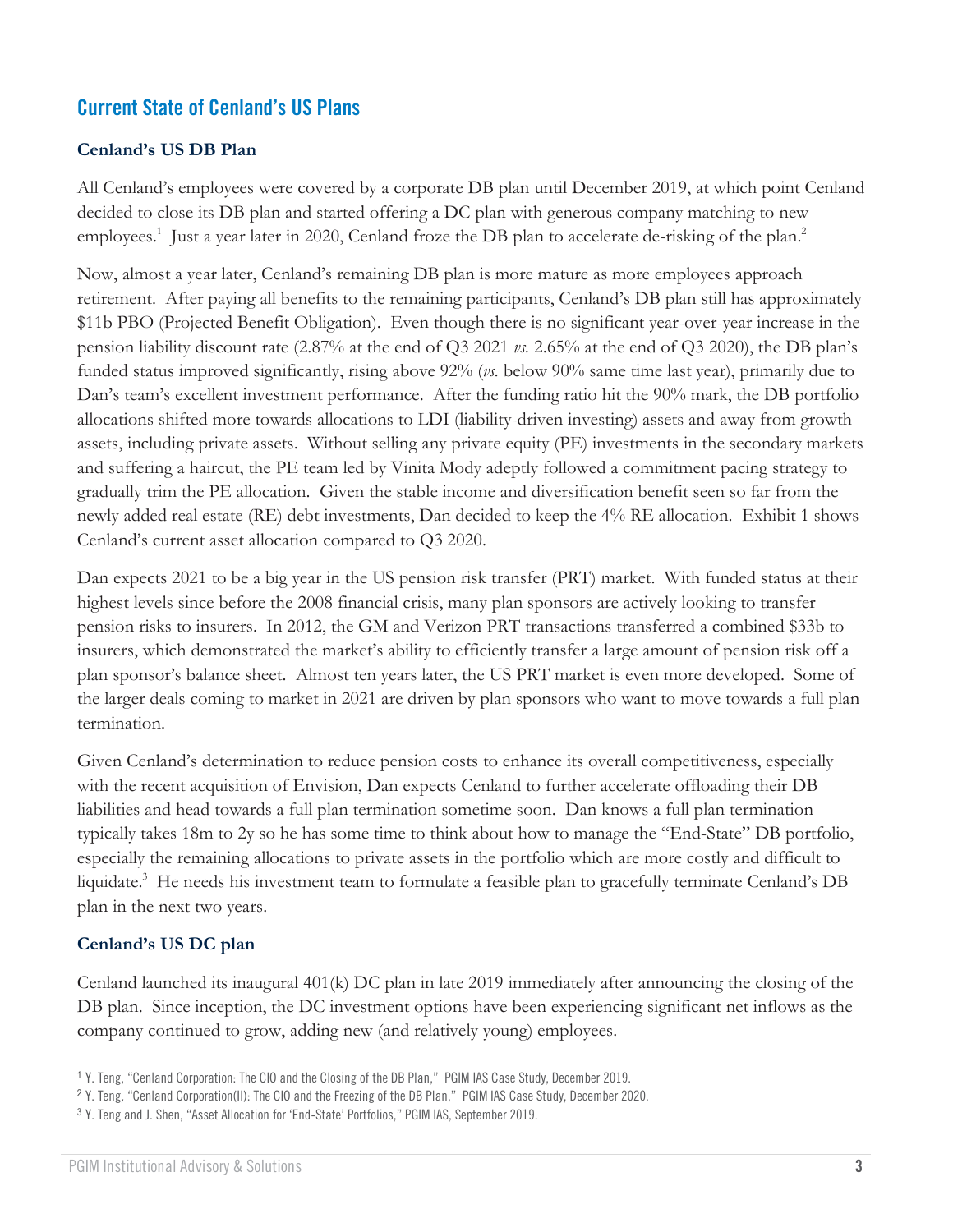# **Current State of Cenland's US Plans**

### **Cenland's US DB Plan**

All Cenland's employees were covered by a corporate DB plan until December 2019, at which point Cenland decided to close its DB plan and started offering a DC plan with generous company matching to new employees.<sup>1</sup> Just a year later in 2020, Cenland froze the DB plan to accelerate de-risking of the plan.<sup>2</sup>

Now, almost a year later, Cenland's remaining DB plan is more mature as more employees approach retirement. After paying all benefits to the remaining participants, Cenland's DB plan still has approximately \$11b PBO (Projected Benefit Obligation). Even though there is no significant year-over-year increase in the pension liability discount rate (2.87% at the end of Q3 2021 *vs.* 2.65% at the end of Q3 2020), the DB plan's funded status improved significantly, rising above 92% (*vs.* below 90% same time last year), primarily due to Dan's team's excellent investment performance. After the funding ratio hit the 90% mark, the DB portfolio allocations shifted more towards allocations to LDI (liability-driven investing) assets and away from growth assets, including private assets. Without selling any private equity (PE) investments in the secondary markets and suffering a haircut, the PE team led by Vinita Mody adeptly followed a commitment pacing strategy to gradually trim the PE allocation. Given the stable income and diversification benefit seen so far from the newly added real estate (RE) debt investments, Dan decided to keep the 4% RE allocation. Exhibit 1 shows Cenland's current asset allocation compared to Q3 2020.

Dan expects 2021 to be a big year in the US pension risk transfer (PRT) market. With funded status at their highest levels since before the 2008 financial crisis, many plan sponsors are actively looking to transfer pension risks to insurers. In 2012, the GM and Verizon PRT transactions transferred a combined \$33b to insurers, which demonstrated the market's ability to efficiently transfer a large amount of pension risk off a plan sponsor's balance sheet. Almost ten years later, the US PRT market is even more developed. Some of the larger deals coming to market in 2021 are driven by plan sponsors who want to move towards a full plan termination.

Given Cenland's determination to reduce pension costs to enhance its overall competitiveness, especially with the recent acquisition of Envision, Dan expects Cenland to further accelerate offloading their DB liabilities and head towards a full plan termination sometime soon. Dan knows a full plan termination typically takes 18m to 2y so he has some time to think about how to manage the "End-State" DB portfolio, especially the remaining allocations to private assets in the portfolio which are more costly and difficult to liquidate. <sup>3</sup> He needs his investment team to formulate a feasible plan to gracefully terminate Cenland's DB plan in the next two years.

#### **Cenland's US DC plan**

Cenland launched its inaugural 401(k) DC plan in late 2019 immediately after announcing the closing of the DB plan. Since inception, the DC investment options have been experiencing significant net inflows as the company continued to grow, adding new (and relatively young) employees.

<sup>1</sup> Y. Teng, "[Cenland Corporation: The CIO and the Closing of the DB Plan](https://cdn.pficdn.com/cms/pgim4/sites/default/files/2020-05/IAS-Cenland-corp-case-study-2019.pdf)," PGIM IAS Case Study, December 2019.

<sup>2</sup> Y. Teng*,* "[Cenland Corporation\(II\): The CIO and the Freezing of the DB Plan](https://cdn.pficdn.com/cms/pgim4/sites/default/files/2020-12/IAS-Case-Study-Cenland-Corporation-II-December-2020.pdf)," PGIM IAS Case Study, December 2020.

<sup>3</sup> Y. Teng and J. Shen, ["Asset Allocation for 'End](https://cdn.pficdn.com/cms/pgim4/sites/default/files/2020-07/IAS-Asset-Allocation-for-End-State-Portfolios-092019.pdf)-State' Portfolios," PGIM IAS, September 2019.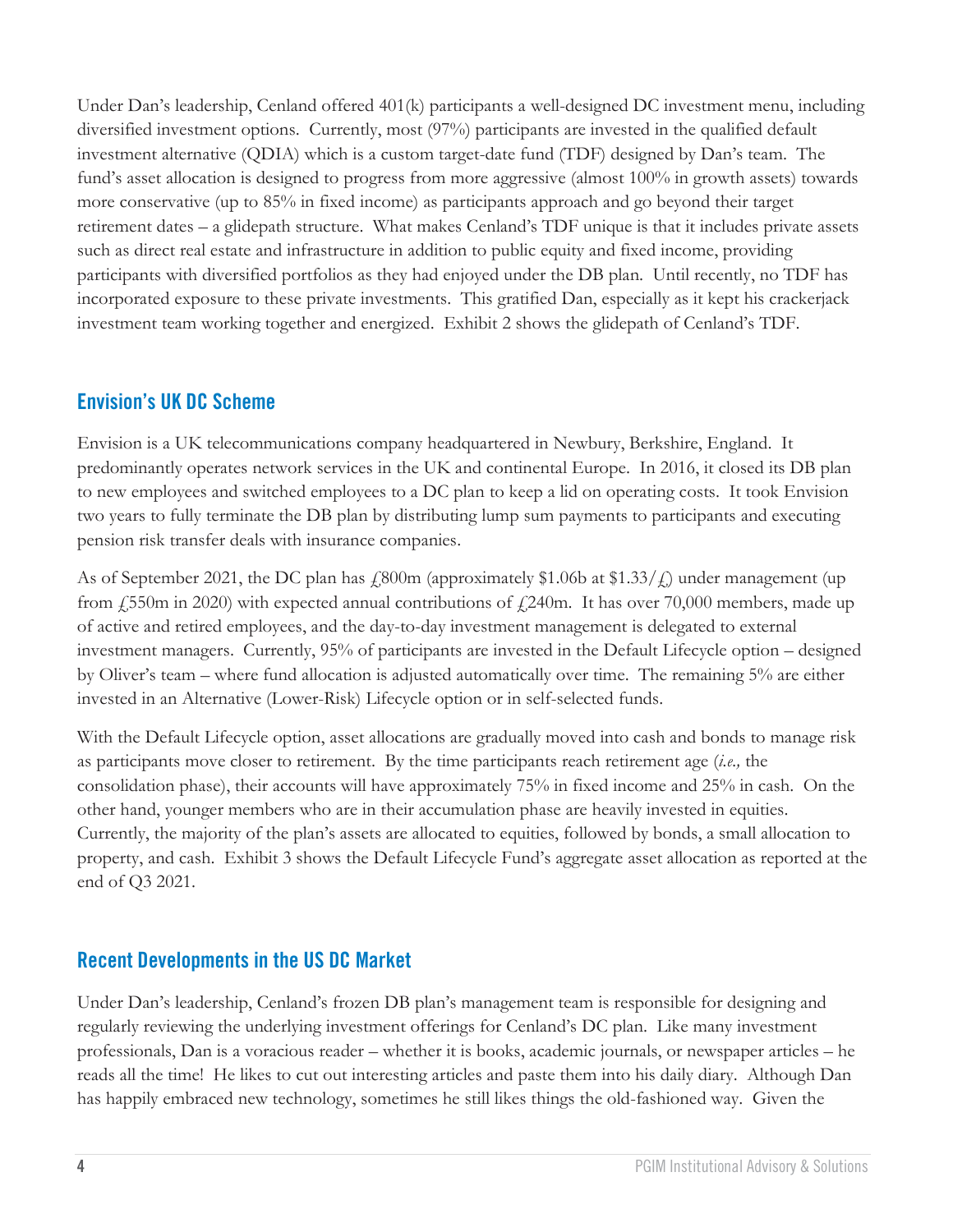Under Dan's leadership, Cenland offered 401(k) participants a well-designed DC investment menu, including diversified investment options. Currently, most (97%) participants are invested in the qualified default investment alternative (QDIA) which is a custom target-date fund (TDF) designed by Dan's team. The fund's asset allocation is designed to progress from more aggressive (almost 100% in growth assets) towards more conservative (up to 85% in fixed income) as participants approach and go beyond their target retirement dates – a glidepath structure. What makes Cenland's TDF unique is that it includes private assets such as direct real estate and infrastructure in addition to public equity and fixed income, providing participants with diversified portfolios as they had enjoyed under the DB plan. Until recently, no TDF has incorporated exposure to these private investments. This gratified Dan, especially as it kept his crackerjack investment team working together and energized. Exhibit 2 shows the glidepath of Cenland's TDF.

## **Envision's UK DC Scheme**

Envision is a UK telecommunications company headquartered in Newbury, Berkshire, England. It predominantly operates network services in the UK and continental Europe. In 2016, it closed its DB plan to new employees and switched employees to a DC plan to keep a lid on operating costs. It took Envision two years to fully terminate the DB plan by distributing lump sum payments to participants and executing pension risk transfer deals with insurance companies.

As of September 2021, the DC plan has  $\frac{1800 \text{m}}{4}$  (approximately \$1.06b at \$1.33/ $\frac{1}{2}$ ) under management (up from  $\sqrt{(550m)}$  in 2020) with expected annual contributions of  $\sqrt{(240m)}$ . It has over 70,000 members, made up of active and retired employees, and the day-to-day investment management is delegated to external investment managers. Currently, 95% of participants are invested in the Default Lifecycle option – designed by Oliver's team – where fund allocation is adjusted automatically over time. The remaining 5% are either invested in an Alternative (Lower-Risk) Lifecycle option or in self-selected funds.

With the Default Lifecycle option, asset allocations are gradually moved into cash and bonds to manage risk as participants move closer to retirement. By the time participants reach retirement age (*i.e.,* the consolidation phase), their accounts will have approximately 75% in fixed income and 25% in cash. On the other hand, younger members who are in their accumulation phase are heavily invested in equities. Currently, the majority of the plan's assets are allocated to equities, followed by bonds, a small allocation to property, and cash. Exhibit 3 shows the Default Lifecycle Fund's aggregate asset allocation as reported at the end of Q3 2021.

# **Recent Developments in the US DC Market**

Under Dan's leadership, Cenland's frozen DB plan's management team is responsible for designing and regularly reviewing the underlying investment offerings for Cenland's DC plan. Like many investment professionals, Dan is a voracious reader – whether it is books, academic journals, or newspaper articles – he reads all the time! He likes to cut out interesting articles and paste them into his daily diary. Although Dan has happily embraced new technology, sometimes he still likes things the old-fashioned way. Given the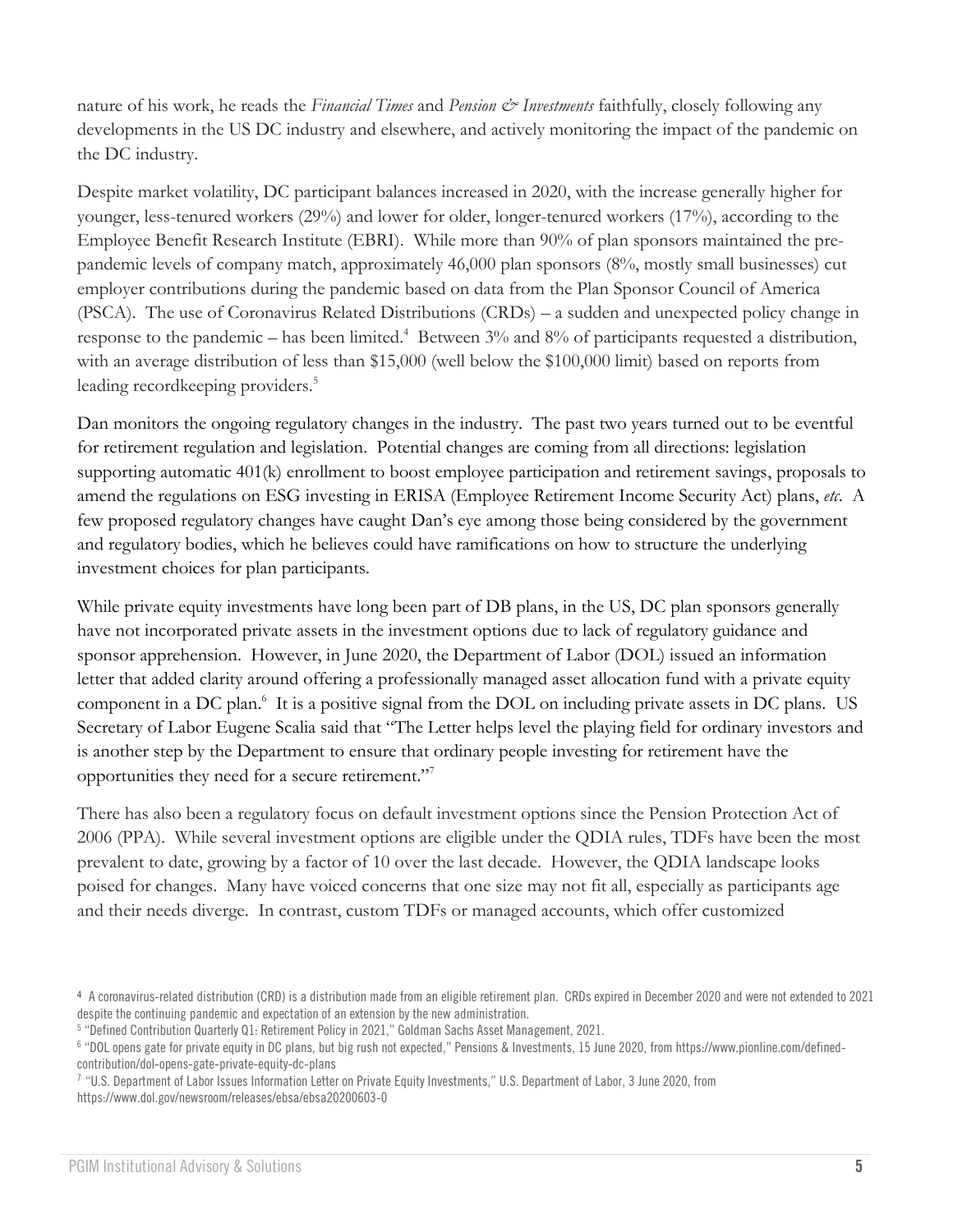nature of his work, he reads the *Financial Times* and *Pension & Investments* faithfully, closely following any developments in the US DC industry and elsewhere, and actively monitoring the impact of the pandemic on the DC industry.

Despite market volatility, DC participant balances increased in 2020, with the increase generally higher for younger, less-tenured workers (29%) and lower for older, longer-tenured workers (17%), according to the Employee Benefit Research Institute (EBRI). While more than 90% of plan sponsors maintained the prepandemic levels of company match, approximately 46,000 plan sponsors (8%, mostly small businesses) cut employer contributions during the pandemic based on data from the Plan Sponsor Council of America (PSCA). The use of Coronavirus Related Distributions (CRDs) – a sudden and unexpected policy change in response to the pandemic – has been limited.<sup>4</sup> Between 3% and 8% of participants requested a distribution, with an average distribution of less than \$15,000 (well below the \$100,000 limit) based on reports from leading recordkeeping providers.<sup>5</sup>

Dan monitors the ongoing regulatory changes in the industry. The past two years turned out to be eventful for retirement regulation and legislation. Potential changes are coming from all directions: legislation supporting automatic 401(k) enrollment to boost employee participation and retirement savings, proposals to amend the regulations on ESG investing in ERISA (Employee Retirement Income Security Act) plans, *etc*. A few proposed regulatory changes have caught Dan's eye among those being considered by the government and regulatory bodies, which he believes could have ramifications on how to structure the underlying investment choices for plan participants.

While private equity investments have long been part of DB plans, in the US, DC plan sponsors generally have not incorporated private assets in the investment options due to lack of regulatory guidance and sponsor apprehension. However, in June 2020, the Department of Labor (DOL) issued an information letter that added clarity around offering a professionally managed asset allocation fund with a private equity component in a DC plan.<sup>6</sup> It is a positive signal from the DOL on including private assets in DC plans. US Secretary of Labor Eugene Scalia said that "The Letter helps level the playing field for ordinary investors and is another step by the Department to ensure that ordinary people investing for retirement have the opportunities they need for a secure retirement."<sup>7</sup>

There has also been a regulatory focus on default investment options since the Pension Protection Act of 2006 (PPA). While several investment options are eligible under the QDIA rules, TDFs have been the most prevalent to date, growing by a factor of 10 over the last decade. However, the QDIA landscape looks poised for changes. Many have voiced concerns that one size may not fit all, especially as participants age and their needs diverge. In contrast, custom TDFs or managed accounts, which offer customized

<sup>4</sup> A coronavirus-related distribution (CRD) is a distribution made from an eligible retirement plan. CRDs expired in December 2020 and were not extended to 2021 despite the continuing pandemic and expectation of an extension by the new administration.

<sup>5</sup> "Defined Contribution Quarterly Q1: Retirement Policy in 2021," Goldman Sachs Asset Management, 2021.

<sup>6</sup> "DOL opens gate for private equity in DC plans, but big rush not expected," Pensions & Investments, 15 June 2020, fro[m https://www.pionline.com/defined](https://www.pionline.com/defined-contribution/dol-opens-gate-private-equity-dc-plans)[contribution/dol-opens-gate-private-equity-dc-plans](https://www.pionline.com/defined-contribution/dol-opens-gate-private-equity-dc-plans)

<sup>7</sup> "U.S. Department of Labor Issues Information Letter on Private Equity Investments," U.S. Department of Labor, 3 June 2020, from <https://www.dol.gov/newsroom/releases/ebsa/ebsa20200603-0>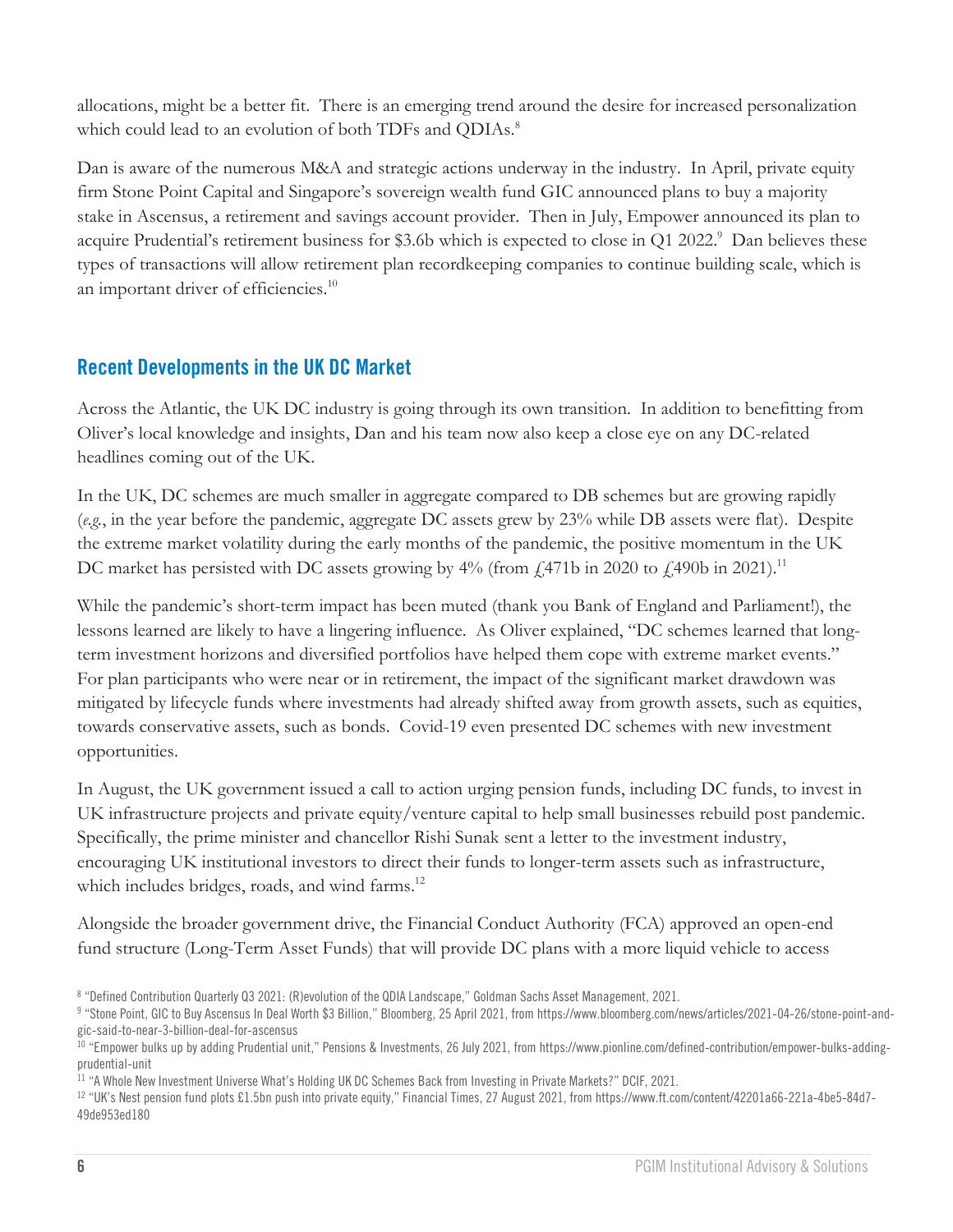allocations, might be a better fit. There is an emerging trend around the desire for increased personalization which could lead to an evolution of both TDFs and QDIAs.<sup>8</sup>

Dan is aware of the numerous M&A and strategic actions underway in the industry. In April, private equity firm Stone Point Capital and Singapore's sovereign wealth fund GIC announced plans to buy a majority stake in Ascensus, a retirement and savings account provider. Then in July, Empower announced its plan to acquire Prudential's retirement business for \$3.6b which is expected to close in Q1 2022.<sup>9</sup> Dan believes these types of transactions will allow retirement plan recordkeeping companies to continue building scale, which is an important driver of efficiencies.<sup>10</sup>

# **Recent Developments in the UK DC Market**

Across the Atlantic, the UK DC industry is going through its own transition. In addition to benefitting from Oliver's local knowledge and insights, Dan and his team now also keep a close eye on any DC-related headlines coming out of the UK.

In the UK, DC schemes are much smaller in aggregate compared to DB schemes but are growing rapidly (*e.g.*, in the year before the pandemic, aggregate DC assets grew by 23% while DB assets were flat). Despite the extreme market volatility during the early months of the pandemic, the positive momentum in the UK DC market has persisted with DC assets growing by  $4\%$  (from £471b in 2020 to £490b in 2021).<sup>11</sup>

While the pandemic's short-term impact has been muted (thank you Bank of England and Parliament!), the lessons learned are likely to have a lingering influence. As Oliver explained, "DC schemes learned that longterm investment horizons and diversified portfolios have helped them cope with extreme market events." For plan participants who were near or in retirement, the impact of the significant market drawdown was mitigated by lifecycle funds where investments had already shifted away from growth assets, such as equities, towards conservative assets, such as bonds. Covid-19 even presented DC schemes with new investment opportunities.

In August, the UK government issued a call to action urging pension funds, including DC funds, to invest in UK infrastructure projects and private equity/venture capital to help small businesses rebuild post pandemic. Specifically, the prime minister and chancellor Rishi Sunak sent a letter to the investment industry, encouraging UK institutional investors to direct their funds to longer-term assets such as infrastructure, which includes bridges, roads, and wind farms.<sup>12</sup>

Alongside the broader government drive, the Financial Conduct Authority (FCA) approved an open-end fund structure (Long-Term Asset Funds) that will provide DC plans with a more liquid vehicle to access

<sup>8</sup> "Defined Contribution Quarterly Q3 2021: (R)evolution of the QDIA Landscape," Goldman Sachs Asset Management, 2021.

<sup>9</sup> "Stone Point, GIC to Buy Ascensus In Deal Worth \$3 Billion," Bloomberg, 25 April 2021, fro[m https://www.bloomberg.com/news/articles/2021-04-26/stone-point-and](https://www.bloomberg.com/news/articles/2021-04-26/stone-point-and-gic-said-to-near-3-billion-deal-for-ascensus)[gic-said-to-near-3-billion-deal-for-ascensus](https://www.bloomberg.com/news/articles/2021-04-26/stone-point-and-gic-said-to-near-3-billion-deal-for-ascensus)

<sup>10</sup> "Empower bulks up by adding Prudential unit," Pensions & Investments, 26 July 2021, fro[m https://www.pionline.com/defined-contribution/empower-bulks-adding](https://www.pionline.com/defined-contribution/empower-bulks-adding-prudential-unit)[prudential-unit](https://www.pionline.com/defined-contribution/empower-bulks-adding-prudential-unit)

 $^{11}$  "A Whole New Investment Universe What's Holding UK DC Schemes Back from Investing in Private Markets?" DCIF, 2021.

<sup>12</sup> "UK's Nest pension fund plots £1.5bn push into private equity," Financial Times, 27 August 2021, fro[m https://www.ft.com/content/42201a66-221a-4be5-84d7-](https://www.ft.com/content/42201a66-221a-4be5-84d7-49de953ed180) [49de953ed180](https://www.ft.com/content/42201a66-221a-4be5-84d7-49de953ed180)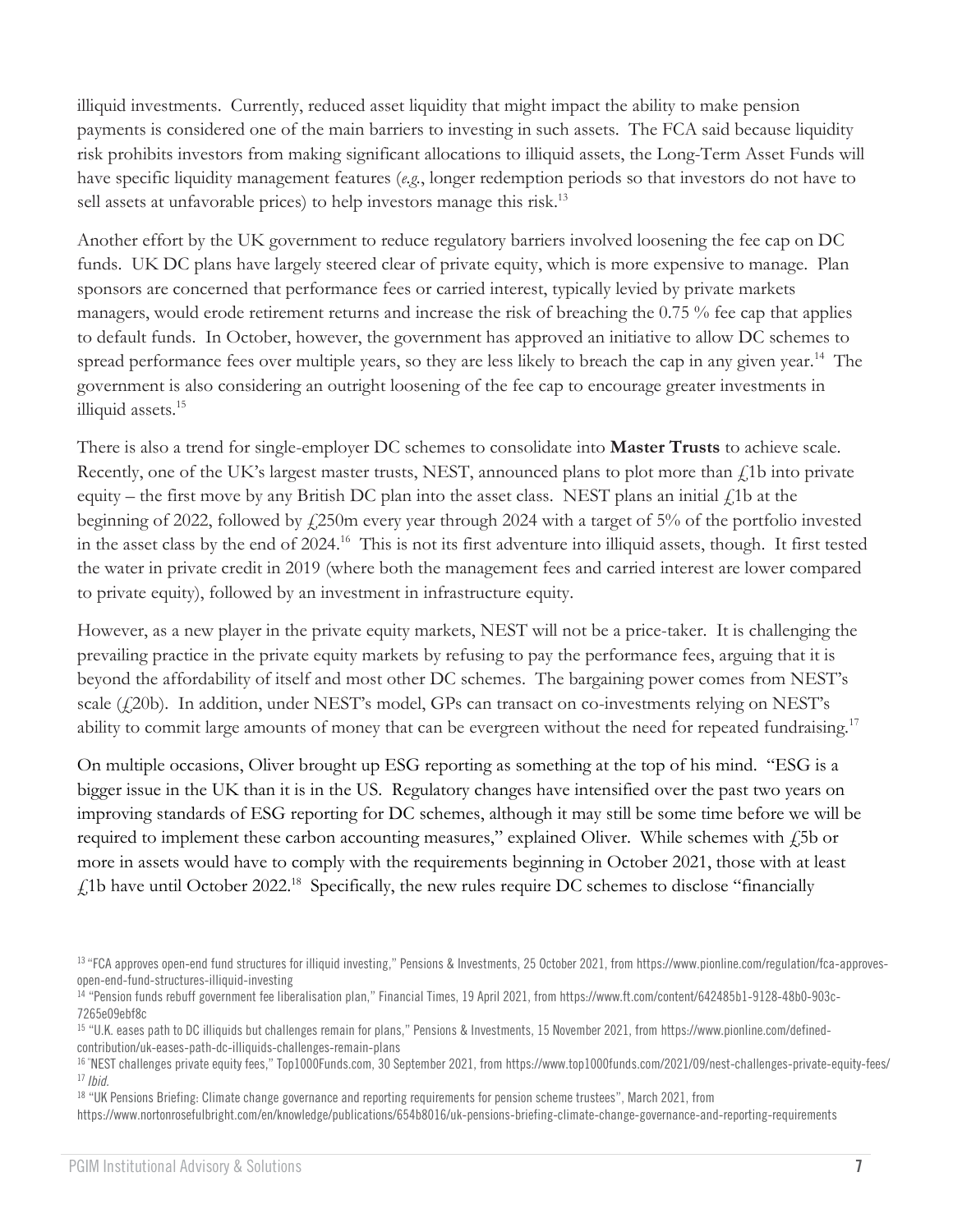illiquid investments. Currently, reduced asset liquidity that might impact the ability to make pension payments is considered one of the main barriers to investing in such assets. The FCA said because liquidity risk prohibits investors from making significant allocations to illiquid assets, the Long-Term Asset Funds will have specific liquidity management features (*e.g.*, longer redemption periods so that investors do not have to sell assets at unfavorable prices) to help investors manage this risk.<sup>13</sup>

Another effort by the UK government to reduce regulatory barriers involved loosening the fee cap on DC funds. UK DC plans have largely steered clear of private equity, which is more expensive to manage. Plan sponsors are concerned that performance fees or carried interest, typically levied by private markets managers, would erode retirement returns and increase the risk of breaching the 0.75 % fee cap that applies to default funds. In October, however, the government has approved an initiative to allow DC schemes to spread performance fees over multiple years, so they are less likely to breach the cap in any given year.<sup>14</sup> The government is also considering an outright loosening of the fee cap to encourage greater investments in illiquid assets.<sup>15</sup>

There is also a trend for single-employer DC schemes to consolidate into **Master Trusts** to achieve scale. Recently, one of the UK's largest master trusts, NEST, announced plans to plot more than  $f<sub>i</sub>1b$  into private equity – the first move by any British DC plan into the asset class. NEST plans an initial  $f_1$ 1b at the beginning of 2022, followed by £250m every year through 2024 with a target of 5% of the portfolio invested in the asset class by the end of 2024.<sup>16</sup> This is not its first adventure into illiquid assets, though. It first tested the water in private credit in 2019 (where both the management fees and carried interest are lower compared to private equity), followed by an investment in infrastructure equity.

However, as a new player in the private equity markets, NEST will not be a price-taker. It is challenging the prevailing practice in the private equity markets by refusing to pay the performance fees, arguing that it is beyond the affordability of itself and most other DC schemes. The bargaining power comes from NEST's scale  $(420b)$ . In addition, under NEST's model, GPs can transact on co-investments relying on NEST's ability to commit large amounts of money that can be evergreen without the need for repeated fundraising.<sup>17</sup>

On multiple occasions, Oliver brought up ESG reporting as something at the top of his mind. "ESG is a bigger issue in the UK than it is in the US. Regulatory changes have intensified over the past two years on improving standards of ESG reporting for DC schemes, although it may still be some time before we will be required to implement these carbon accounting measures," explained Oliver. While schemes with £5b or more in assets would have to comply with the requirements beginning in October 2021, those with at least  $\text{\emph{L}}$ 1b have until October 2022.<sup>18</sup> Specifically, the new rules require DC schemes to disclose "financially

<sup>13</sup> "FCA approves open-end fund structures for illiquid investing," Pensions & Investments, 25 October 2021, fro[m https://www.pionline.com/regulation/fca-approves](https://www.pionline.com/regulation/fca-approves-open-end-fund-structures-illiquid-investing)[open-end-fund-structures-illiquid-investing](https://www.pionline.com/regulation/fca-approves-open-end-fund-structures-illiquid-investing)

<sup>14</sup> "Pension funds rebuff government fee liberalisation plan," Financial Times, 19 April 2021, fro[m https://www.ft.com/content/642485b1-9128-48b0-903c-](https://www.ft.com/content/642485b1-9128-48b0-903c-7265e09ebf8c)[7265e09ebf8c](https://www.ft.com/content/642485b1-9128-48b0-903c-7265e09ebf8c)

<sup>15</sup> "U.K. eases path to DC illiquids but challenges remain for plans," Pensions & Investments, 15 November 2021, fro[m https://www.pionline.com/defined](https://www.pionline.com/defined-contribution/uk-eases-path-dc-illiquids-challenges-remain-plans)[contribution/uk-eases-path-dc-illiquids-challenges-remain-plans](https://www.pionline.com/defined-contribution/uk-eases-path-dc-illiquids-challenges-remain-plans)

<sup>&</sup>lt;sup>16</sup> "NEST challenges private equity fees," Top1000Funds.com, 30 September 2021, from<https://www.top1000funds.com/2021/09/nest-challenges-private-equity-fees/> <sup>17</sup> *Ibid.*

<sup>18</sup> "UK Pensions Briefing: Climate change governance and reporting requirements for pension scheme trustees", March 2021, from

<https://www.nortonrosefulbright.com/en/knowledge/publications/654b8016/uk-pensions-briefing-climate-change-governance-and-reporting-requirements>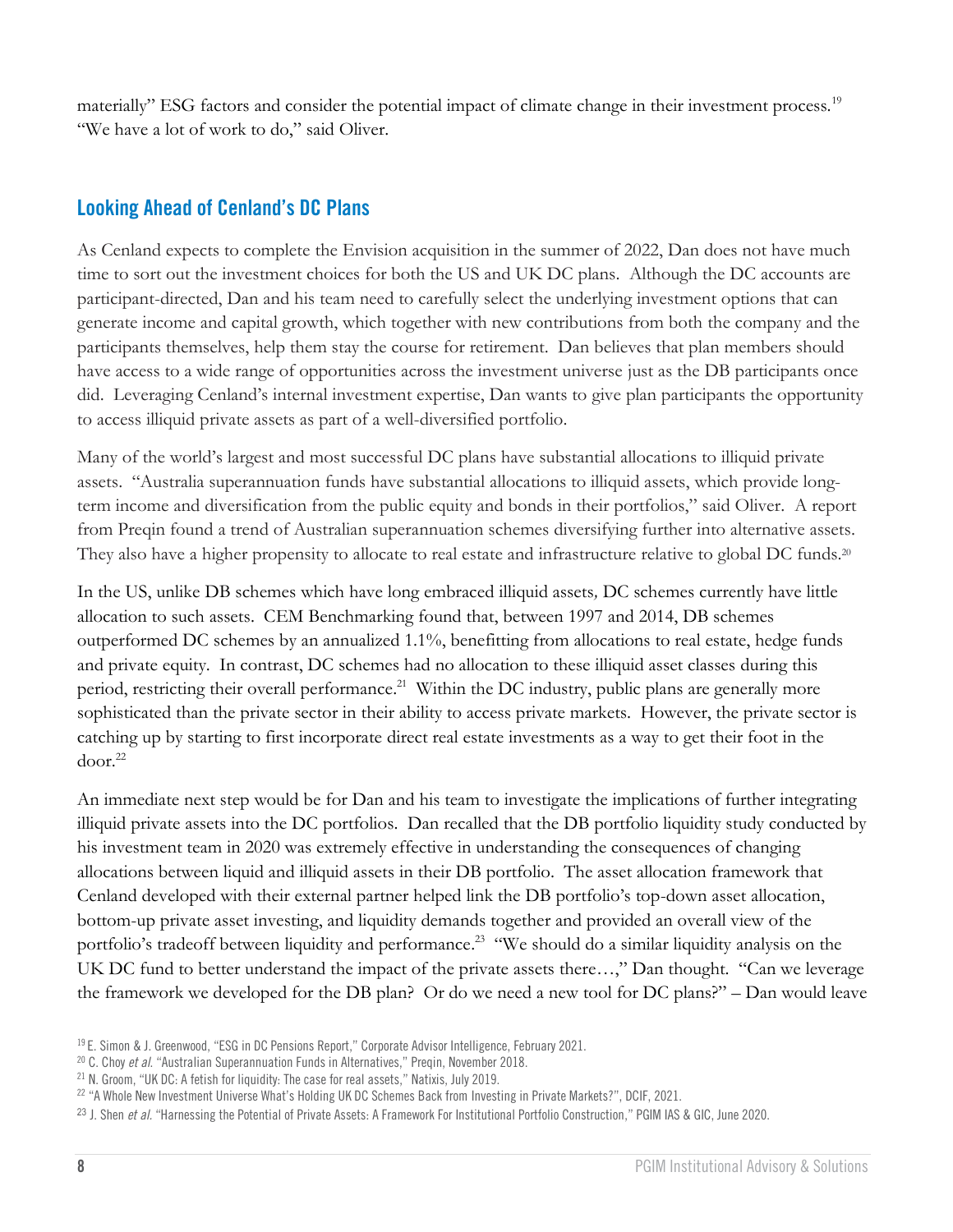materially" ESG factors and consider the potential impact of climate change in their investment process.<sup>19</sup> "We have a lot of work to do," said Oliver.

# **Looking Ahead of Cenland's DC Plans**

As Cenland expects to complete the Envision acquisition in the summer of 2022, Dan does not have much time to sort out the investment choices for both the US and UK DC plans. Although the DC accounts are participant-directed, Dan and his team need to carefully select the underlying investment options that can generate income and capital growth, which together with new contributions from both the company and the participants themselves, help them stay the course for retirement. Dan believes that plan members should have access to a wide range of opportunities across the investment universe just as the DB participants once did. Leveraging Cenland's internal investment expertise, Dan wants to give plan participants the opportunity to access illiquid private assets as part of a well-diversified portfolio.

Many of the world's largest and most successful DC plans have substantial allocations to illiquid private assets. "Australia superannuation funds have substantial allocations to illiquid assets, which provide longterm income and diversification from the public equity and bonds in their portfolios," said Oliver. A report from Preqin found a trend of Australian superannuation schemes diversifying further into alternative assets. They also have a higher propensity to allocate to real estate and infrastructure relative to global DC funds.<sup>20</sup>

In the US, unlike DB schemes which have long embraced illiquid assets*,* DC schemes currently have little allocation to such assets. CEM Benchmarking found that, between 1997 and 2014, DB schemes outperformed DC schemes by an annualized 1.1%, benefitting from allocations to real estate, hedge funds and private equity. In contrast, DC schemes had no allocation to these illiquid asset classes during this period, restricting their overall performance.<sup>21</sup> Within the DC industry, public plans are generally more sophisticated than the private sector in their ability to access private markets. However, the private sector is catching up by starting to first incorporate direct real estate investments as a way to get their foot in the door. 22

An immediate next step would be for Dan and his team to investigate the implications of further integrating illiquid private assets into the DC portfolios. Dan recalled that the DB portfolio liquidity study conducted by his investment team in 2020 was extremely effective in understanding the consequences of changing allocations between liquid and illiquid assets in their DB portfolio. The asset allocation framework that Cenland developed with their external partner helped link the DB portfolio's top-down asset allocation, bottom-up private asset investing, and liquidity demands together and provided an overall view of the portfolio's tradeoff between liquidity and performance.<sup>23</sup> "We should do a similar liquidity analysis on the UK DC fund to better understand the impact of the private assets there…," Dan thought. "Can we leverage the framework we developed for the DB plan? Or do we need a new tool for DC plans?" – Dan would leave

<sup>&</sup>lt;sup>19</sup> E. Simon & J. Greenwood, "ESG in DC Pensions Report," Corporate Advisor Intelligence, February 2021.

<sup>20</sup> C. Choy *et al*. "Australian Superannuation Funds in Alternatives," Preqin, November 2018.

<sup>&</sup>lt;sup>21</sup> N. Groom, "UK DC: A fetish for liquidity: The case for real assets," Natixis, July 2019.

 $^{22}$  "A Whole New Investment Universe What's Holding UK DC Schemes Back from Investing in Private Markets?", DCIF, 2021.

<sup>23</sup> J. Shen *et al.* "[Harnessing the Potential of Private Assets: A Framework For Institutional Portfolio Construction](https://cdn.pficdn.com/cms/pgim4/sites/default/files/IAS-Harnessing-the-Potential-of-Private-Assets-062021.pdf)," PGIM IAS & GIC, June 2020.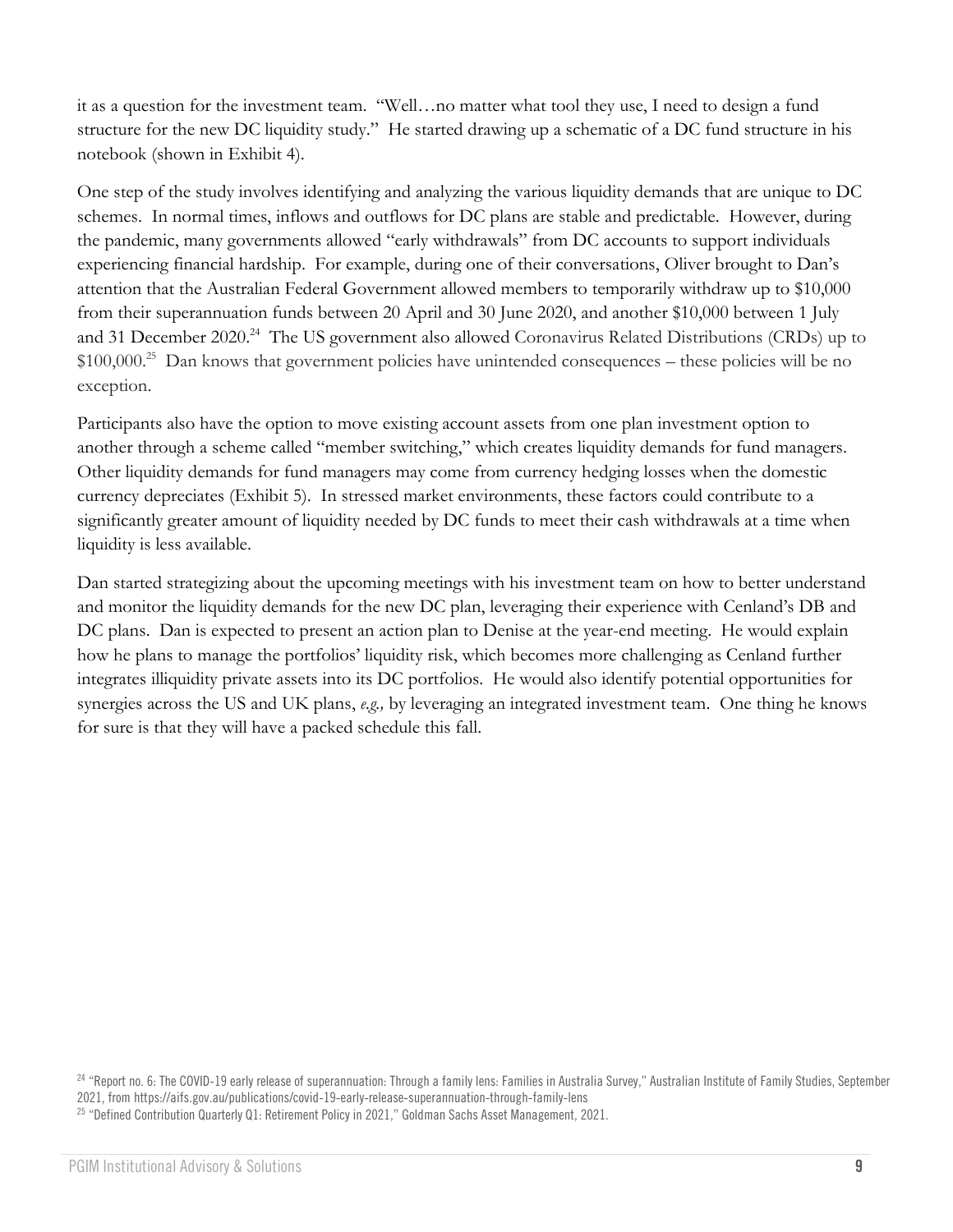it as a question for the investment team. "Well…no matter what tool they use, I need to design a fund structure for the new DC liquidity study." He started drawing up a schematic of a DC fund structure in his notebook (shown in Exhibit 4).

One step of the study involves identifying and analyzing the various liquidity demands that are unique to DC schemes. In normal times, inflows and outflows for DC plans are stable and predictable. However, during the pandemic, many governments allowed "early withdrawals" from DC accounts to support individuals experiencing financial hardship. For example, during one of their conversations, Oliver brought to Dan's attention that the Australian Federal Government allowed members to temporarily withdraw up to \$10,000 from their superannuation funds between 20 April and 30 June 2020, and another \$10,000 between 1 July and 31 December 2020.<sup>24</sup> The US government also allowed Coronavirus Related Distributions (CRDs) up to \$100,000. <sup>25</sup> Dan knows that government policies have unintended consequences – these policies will be no exception.

Participants also have the option to move existing account assets from one plan investment option to another through a scheme called "member switching," which creates liquidity demands for fund managers. Other liquidity demands for fund managers may come from currency hedging losses when the domestic currency depreciates (Exhibit 5). In stressed market environments, these factors could contribute to a significantly greater amount of liquidity needed by DC funds to meet their cash withdrawals at a time when liquidity is less available.

Dan started strategizing about the upcoming meetings with his investment team on how to better understand and monitor the liquidity demands for the new DC plan, leveraging their experience with Cenland's DB and DC plans. Dan is expected to present an action plan to Denise at the year-end meeting. He would explain how he plans to manage the portfolios' liquidity risk, which becomes more challenging as Cenland further integrates illiquidity private assets into its DC portfolios. He would also identify potential opportunities for synergies across the US and UK plans, *e.g.,* by leveraging an integrated investment team. One thing he knows for sure is that they will have a packed schedule this fall.

<sup>24</sup> "Report no. 6: The COVID-19 early release of superannuation: Through a family lens: Families in Australia Survey," Australian Institute of Family Studies, September 2021, fro[m https://aifs.gov.au/publications/covid-19-early-release-superannuation-through-family-lens](https://aifs.gov.au/publications/covid-19-early-release-superannuation-through-family-lens)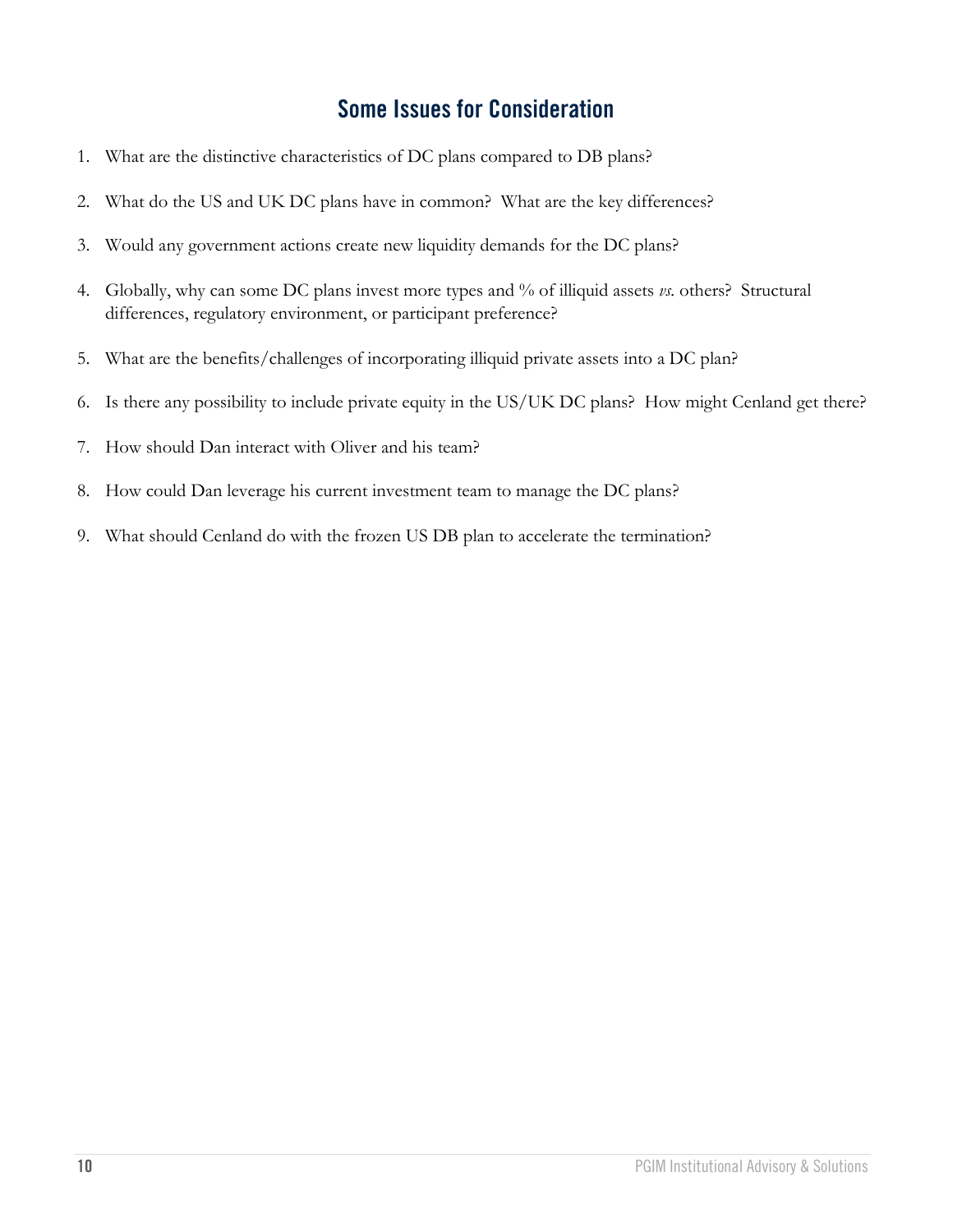# **Some Issues for Consideration**

- 1. What are the distinctive characteristics of DC plans compared to DB plans?
- 2. What do the US and UK DC plans have in common? What are the key differences?
- 3. Would any government actions create new liquidity demands for the DC plans?
- 4. Globally, why can some DC plans invest more types and % of illiquid assets *vs.* others? Structural differences, regulatory environment, or participant preference?
- 5. What are the benefits/challenges of incorporating illiquid private assets into a DC plan?
- 6. Is there any possibility to include private equity in the US/UK DC plans? How might Cenland get there?
- 7. How should Dan interact with Oliver and his team?
- 8. How could Dan leverage his current investment team to manage the DC plans?
- 9. What should Cenland do with the frozen US DB plan to accelerate the termination?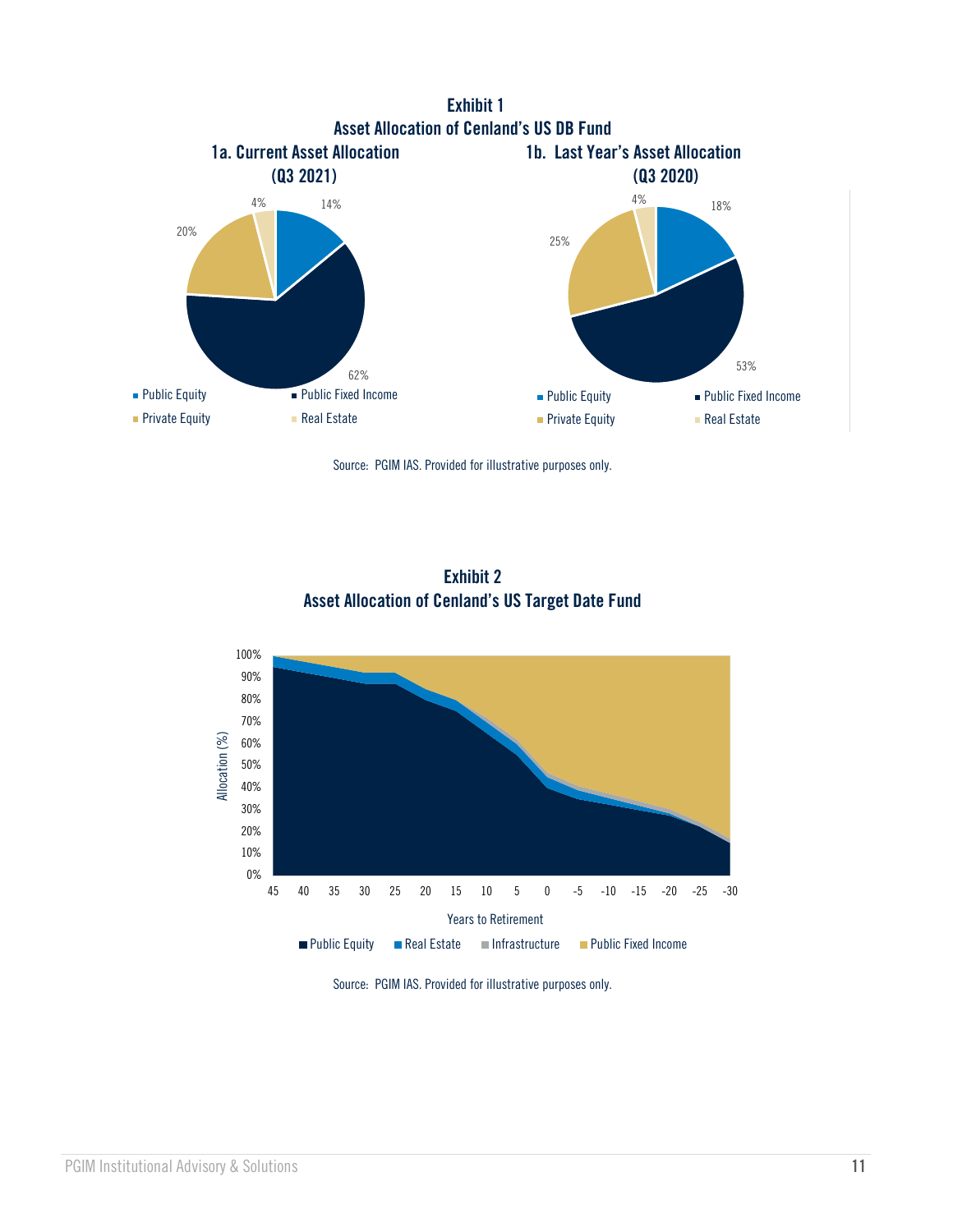







Source: PGIM IAS. Provided for illustrative purposes only.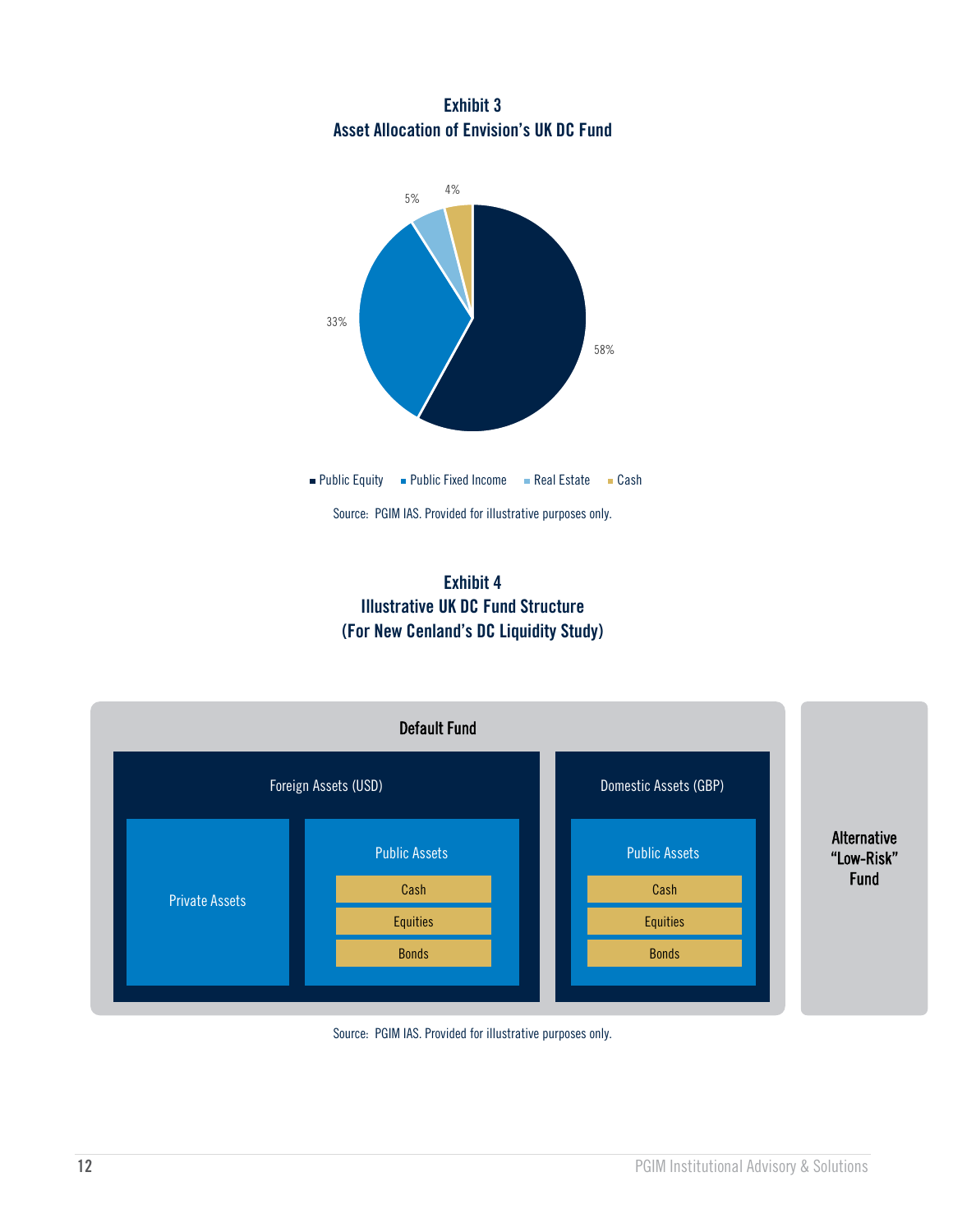



**Exhibit 4 Illustrative UK DC Fund Structure (For New Cenland's DC Liquidity Study)**



Source: PGIM IAS. Provided for illustrative purposes only.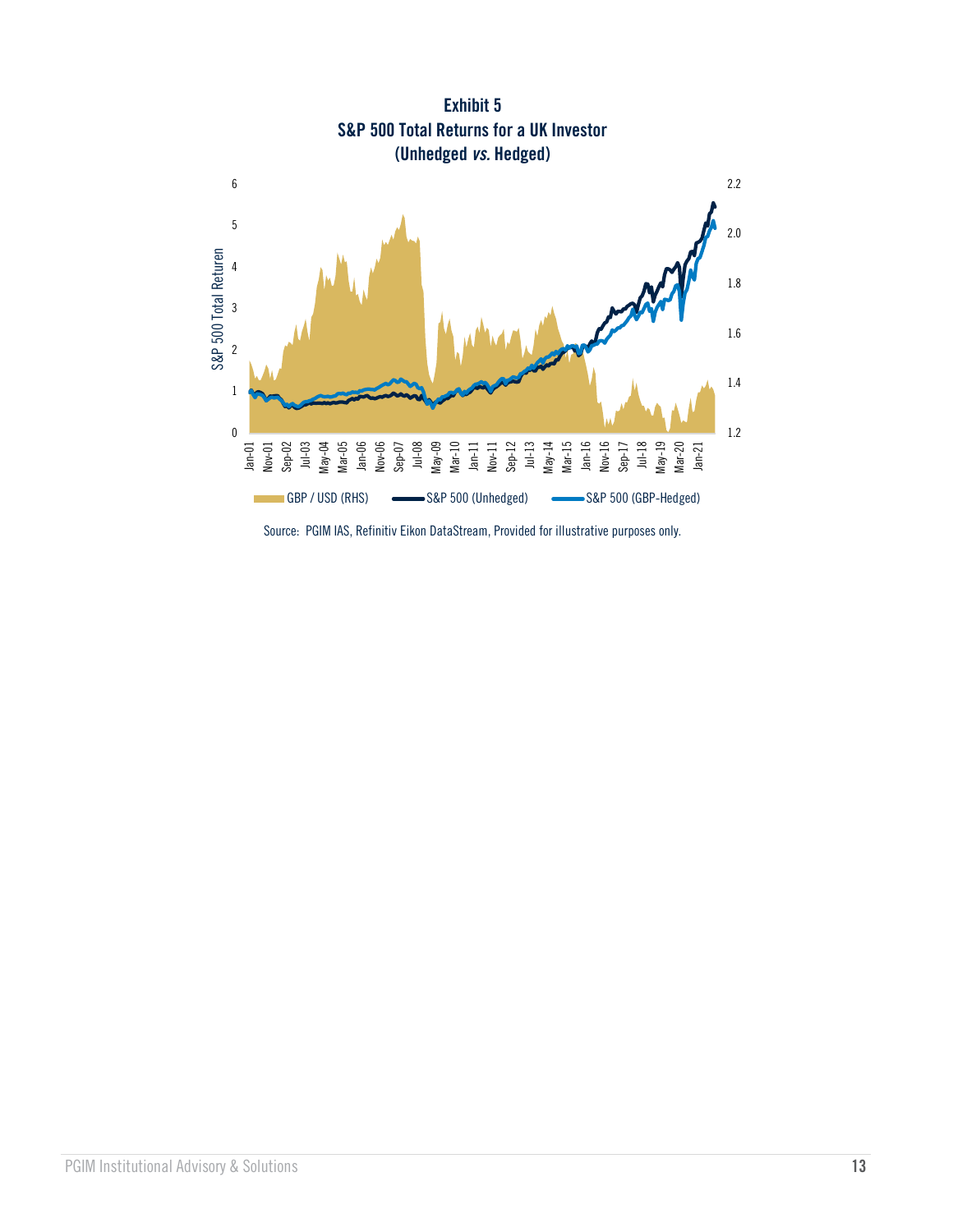

Source: PGIM IAS, Refinitiv Eikon DataStream, Provided for illustrative purposes only.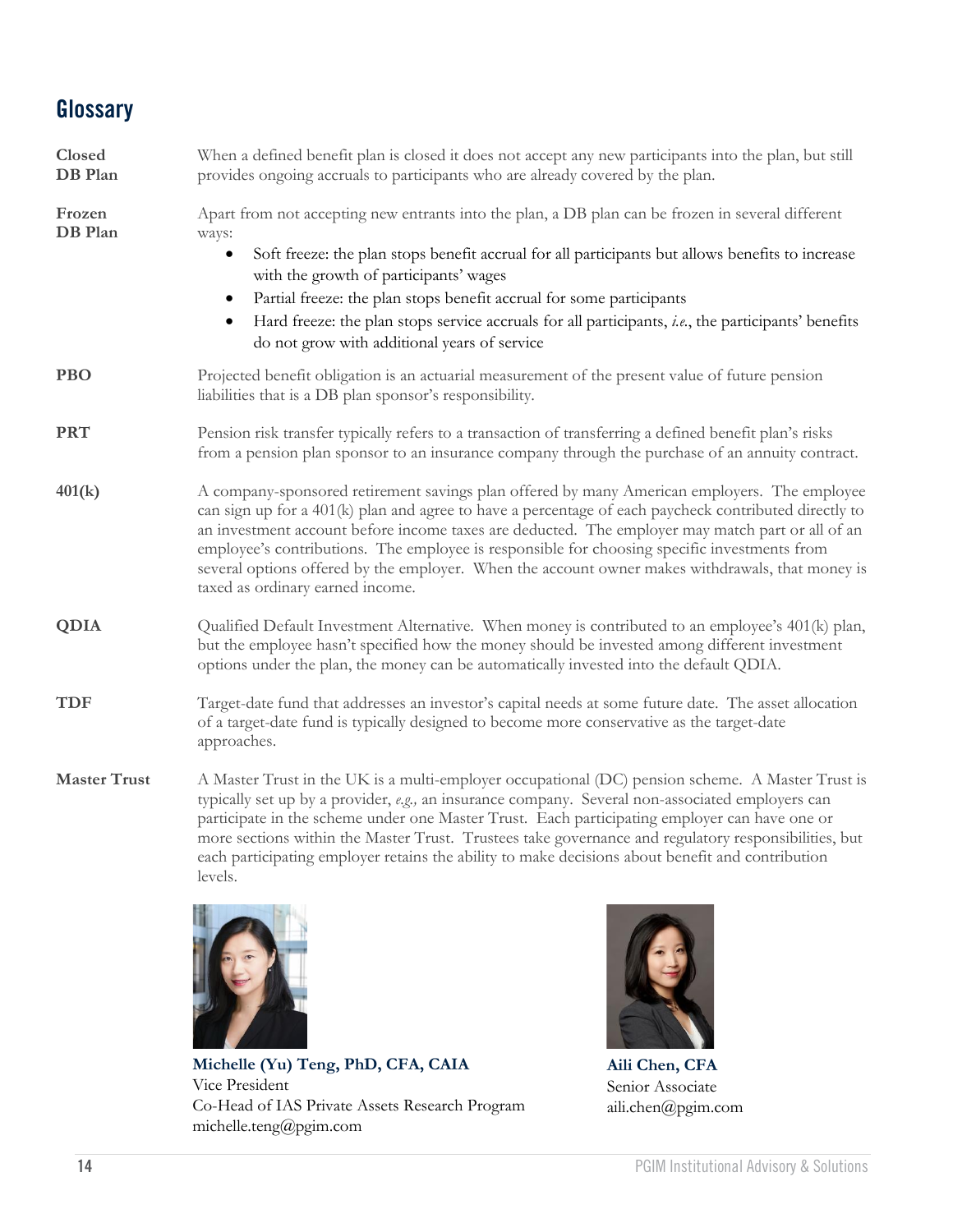# **Glossary**

| Closed<br>DB Plan   | When a defined benefit plan is closed it does not accept any new participants into the plan, but still<br>provides ongoing accruals to participants who are already covered by the plan.                                                                                                                                                                                                                                                                                                                                                          |
|---------------------|---------------------------------------------------------------------------------------------------------------------------------------------------------------------------------------------------------------------------------------------------------------------------------------------------------------------------------------------------------------------------------------------------------------------------------------------------------------------------------------------------------------------------------------------------|
| Frozen<br>DB Plan   | Apart from not accepting new entrants into the plan, a DB plan can be frozen in several different<br>ways:<br>Soft freeze: the plan stops benefit accrual for all participants but allows benefits to increase<br>with the growth of participants' wages<br>Partial freeze: the plan stops benefit accrual for some participants<br>$\bullet$<br>Hard freeze: the plan stops service accruals for all participants, i.e., the participants' benefits<br>do not grow with additional years of service                                              |
| <b>PBO</b>          | Projected benefit obligation is an actuarial measurement of the present value of future pension<br>liabilities that is a DB plan sponsor's responsibility.                                                                                                                                                                                                                                                                                                                                                                                        |
| <b>PRT</b>          | Pension risk transfer typically refers to a transaction of transferring a defined benefit plan's risks<br>from a pension plan sponsor to an insurance company through the purchase of an annuity contract.                                                                                                                                                                                                                                                                                                                                        |
| 401(k)              | A company-sponsored retirement savings plan offered by many American employers. The employee<br>can sign up for a 401(k) plan and agree to have a percentage of each paycheck contributed directly to<br>an investment account before income taxes are deducted. The employer may match part or all of an<br>employee's contributions. The employee is responsible for choosing specific investments from<br>several options offered by the employer. When the account owner makes withdrawals, that money is<br>taxed as ordinary earned income. |
| <b>QDIA</b>         | Qualified Default Investment Alternative. When money is contributed to an employee's 401(k) plan,<br>but the employee hasn't specified how the money should be invested among different investment<br>options under the plan, the money can be automatically invested into the default QDIA.                                                                                                                                                                                                                                                      |
| <b>TDF</b>          | Target-date fund that addresses an investor's capital needs at some future date. The asset allocation<br>of a target-date fund is typically designed to become more conservative as the target-date<br>approaches.                                                                                                                                                                                                                                                                                                                                |
| <b>Master Trust</b> | A Master Trust in the UK is a multi-employer occupational (DC) pension scheme. A Master Trust is<br>typically set up by a provider, e.g., an insurance company. Several non-associated employers can<br>participate in the scheme under one Master Trust. Each participating employer can have one or<br>more sections within the Master Trust. Trustees take governance and regulatory responsibilities, but<br>each participating employer retains the ability to make decisions about benefit and contribution                                 |



levels.

**Michelle (Yu) Teng, PhD, CFA, CAIA** Vice President Co-Head of IAS Private Assets Research Program michelle.teng@pgim.com



**Aili Chen, CFA** Senior Associate aili.chen@pgim.com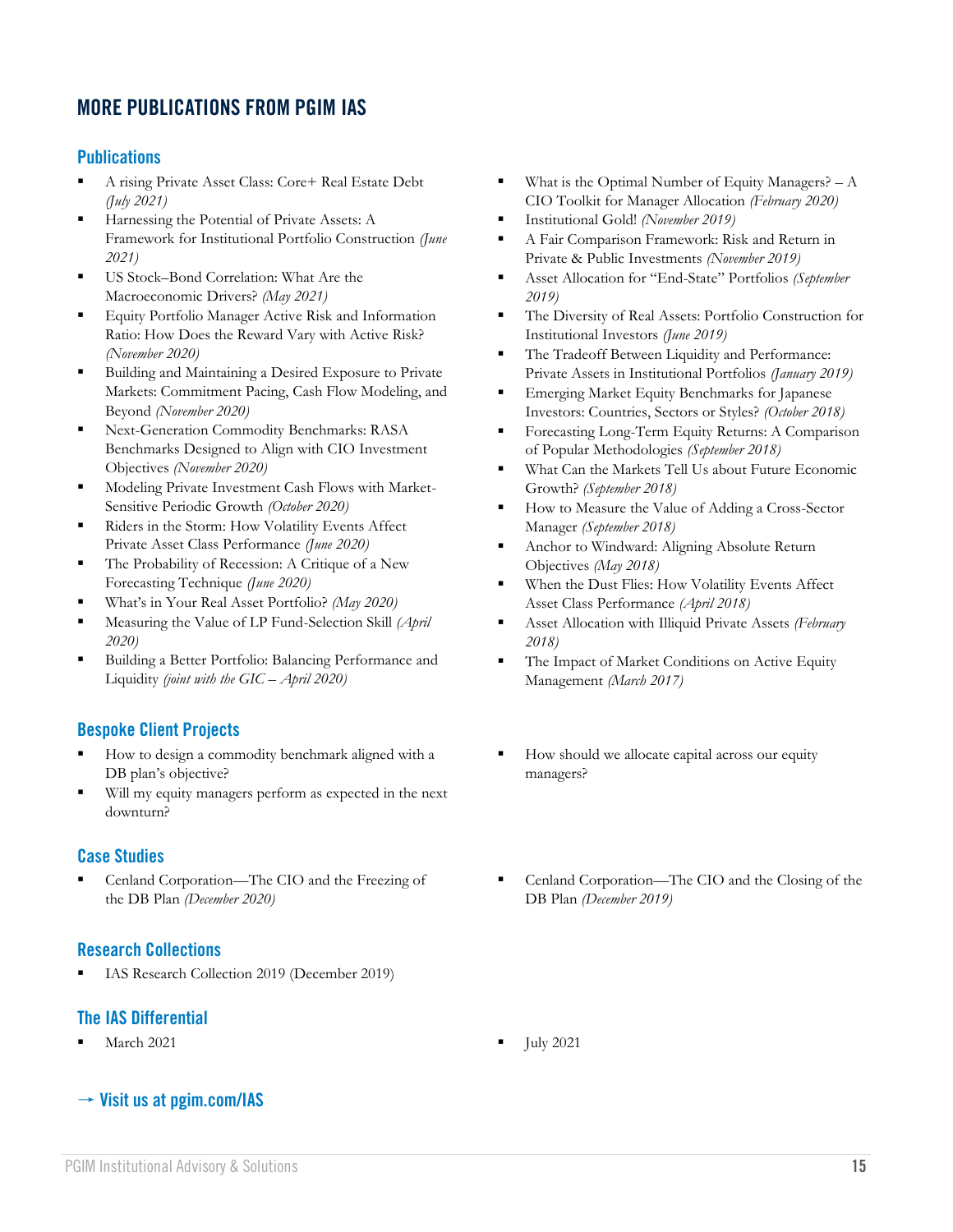# **MORE PUBLICATIONS FROM PGIM IAS**

#### **Publications**

- A rising Private Asset Class: Core+ Real Estate Debt *(July 2021)*
- Harnessing the Potential of Private Assets: A Framework for Institutional Portfolio Construction *(June 2021)*
- US Stock–Bond Correlation: What Are the Macroeconomic Drivers? *(May 2021)*
- Equity Portfolio Manager Active Risk and Information Ratio: How Does the Reward Vary with Active Risk? *(November 2020)*
- Building and Maintaining a Desired Exposure to Private Markets: Commitment Pacing, Cash Flow Modeling, and Beyond *(November 2020)*
- Next-Generation Commodity Benchmarks: RASA Benchmarks Designed to Align with CIO Investment Objectives *(November 2020)*
- Modeling Private Investment Cash Flows with Market-Sensitive Periodic Growth *(October 2020)*
- Riders in the Storm: How Volatility Events Affect Private Asset Class Performance *(June 2020)*
- The Probability of Recession: A Critique of a New Forecasting Technique *(June 2020)*
- What's in Your Real Asset Portfolio? *(May 2020)*
- Measuring the Value of LP Fund-Selection Skill (April *2020)*
- Building a Better Portfolio: Balancing Performance and Liquidity *(joint with the GIC – April 2020)*

#### **Bespoke Client Projects**

- How to design a commodity benchmark aligned with a DB plan's objective?
- Will my equity managers perform as expected in the next downturn?

#### **Case Studies**

Cenland Corporation—The CIO and the Freezing of the DB Plan *(December 2020)*

#### **Research Collections**

IAS Research Collection 2019 (December 2019)

#### **The IAS Differential**

**March 2021 I** July 2021

#### → **Visit us at [pgim.com/IAS](https://www.pgim.com/clients/advisory-solutions)**

- What is the Optimal Number of Equity Managers?  $A$ CIO Toolkit for Manager Allocation *(February 2020)*
- Institutional Gold! *(November 2019)*
- A Fair Comparison Framework: Risk and Return in Private & Public Investments *(November 2019)*
- Asset Allocation for "End-State" Portfolios *(September 2019)*
- The Diversity of Real Assets: Portfolio Construction for Institutional Investors *(June 2019)*
- The Tradeoff Between Liquidity and Performance: Private Assets in Institutional Portfolios *(January 2019)*
- **Emerging Market Equity Benchmarks for Japanese** Investors: Countries, Sectors or Styles? *(October 2018)*
- **Exercise Forecasting Long-Term Equity Returns: A Comparison** of Popular Methodologies *(September 2018)*
- What Can the Markets Tell Us about Future Economic Growth? *(September 2018)*
- How to Measure the Value of Adding a Cross-Sector Manager *(September 2018)*
- Anchor to Windward: Aligning Absolute Return Objectives *(May 2018)*
- When the Dust Flies: How Volatility Events Affect Asset Class Performance *(April 2018)*
- **EXECUTE:** Asset Allocation with Illiquid Private Assets *(February 2018)*
- The Impact of Market Conditions on Active Equity Management *(March 2017)*
- How should we allocate capital across our equity managers?
- Cenland Corporation—The CIO and the Closing of the DB Plan *(December 2019)*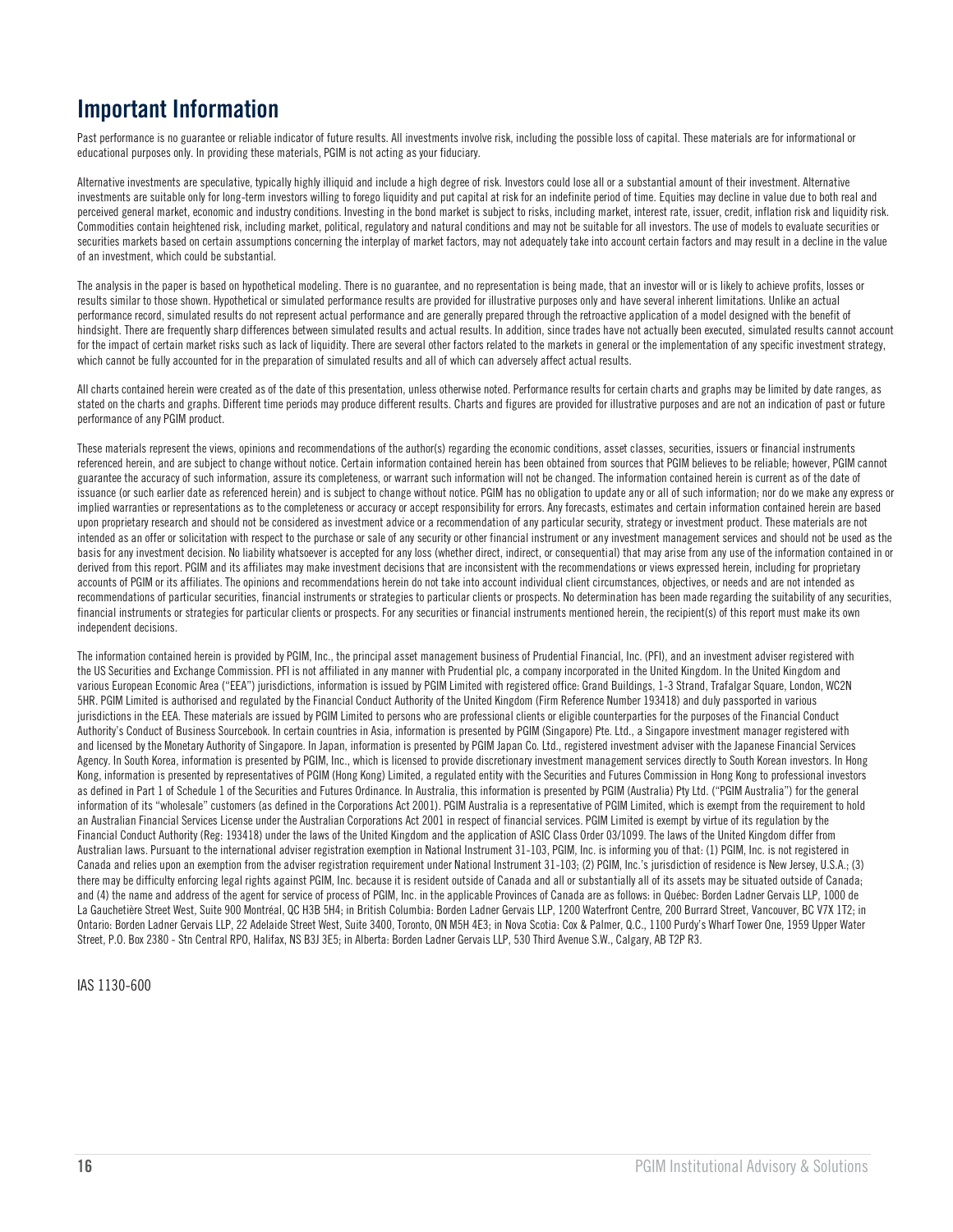# **Important Information**

Past performance is no guarantee or reliable indicator of future results. All investments involve risk, including the possible loss of capital. These materials are for informational or educational purposes only. In providing these materials, PGIM is not acting as your fiduciary.

Alternative investments are speculative, typically highly illiquid and include a high degree of risk. Investors could lose all or a substantial amount of their investment. Alternative investments are suitable only for long-term investors willing to forego liquidity and put capital at risk for an indefinite period of time. Equities may decline in value due to both real and perceived general market, economic and industry conditions. Investing in the bond market is subject to risks, including market, interest rate, issuer, credit, inflation risk and liquidity risk. Commodities contain heightened risk, including market, political, regulatory and natural conditions and may not be suitable for all investors. The use of models to evaluate securities or securities markets based on certain assumptions concerning the interplay of market factors, may not adequately take into account certain factors and may result in a decline in the value of an investment, which could be substantial.

The analysis in the paper is based on hypothetical modeling. There is no guarantee, and no representation is being made, that an investor will or is likely to achieve profits, losses or results similar to those shown. Hypothetical or simulated performance results are provided for illustrative purposes only and have several inherent limitations. Unlike an actual performance record, simulated results do not represent actual performance and are generally prepared through the retroactive application of a model designed with the benefit of hindsight. There are frequently sharp differences between simulated results and actual results. In addition, since trades have not actually been executed, simulated results cannot account for the impact of certain market risks such as lack of liquidity. There are several other factors related to the markets in general or the implementation of any specific investment strategy, which cannot be fully accounted for in the preparation of simulated results and all of which can adversely affect actual results.

All charts contained herein were created as of the date of this presentation, unless otherwise noted. Performance results for certain charts and graphs may be limited by date ranges, as stated on the charts and graphs. Different time periods may produce different results. Charts and figures are provided for illustrative purposes and are not an indication of past or future performance of any PGIM product.

These materials represent the views, opinions and recommendations of the author(s) regarding the economic conditions, asset classes, securities, issuers or financial instruments referenced herein, and are subject to change without notice. Certain information contained herein has been obtained from sources that PGIM believes to be reliable; however, PGIM cannot guarantee the accuracy of such information, assure its completeness, or warrant such information will not be changed. The information contained herein is current as of the date of issuance (or such earlier date as referenced herein) and is subject to change without notice. PGIM has no obligation to update any or all of such information; nor do we make any express or implied warranties or representations as to the completeness or accuracy or accept responsibility for errors. Any forecasts, estimates and certain information contained herein are based upon proprietary research and should not be considered as investment advice or a recommendation of any particular security, strategy or investment product. These materials are not intended as an offer or solicitation with respect to the purchase or sale of any security or other financial instrument or any investment management services and should not be used as the basis for any investment decision. No liability whatsoever is accepted for any loss (whether direct, indirect, or consequential) that may arise from any use of the information contained in or derived from this report. PGIM and its affiliates may make investment decisions that are inconsistent with the recommendations or views expressed herein, including for proprietary accounts of PGIM or its affiliates. The opinions and recommendations herein do not take into account individual client circumstances, objectives, or needs and are not intended as recommendations of particular securities, financial instruments or strategies to particular clients or prospects. No determination has been made regarding the suitability of any securities, financial instruments or strategies for particular clients or prospects. For any securities or financial instruments mentioned herein, the recipient(s) of this report must make its own independent decisions.

The information contained herein is provided by PGIM, Inc., the principal asset management business of Prudential Financial, Inc. (PFI), and an investment adviser registered with the US Securities and Exchange Commission. PFI is not affiliated in any manner with Prudential plc, a company incorporated in the United Kingdom. In the United Kingdom and various European Economic Area ("EEA") jurisdictions, information is issued by PGIM Limited with registered office: Grand Buildings, 1-3 Strand, Trafalgar Square, London, WC2N 5HR. PGIM Limited is authorised and regulated by the Financial Conduct Authority of the United Kingdom (Firm Reference Number 193418) and duly passported in various jurisdictions in the EEA. These materials are issued by PGIM Limited to persons who are professional clients or eligible counterparties for the purposes of the Financial Conduct Authority's Conduct of Business Sourcebook. In certain countries in Asia, information is presented by PGIM (Singapore) Pte. Ltd., a Singapore investment manager registered with and licensed by the Monetary Authority of Singapore. In Japan, information is presented by PGIM Japan Co. Ltd., registered investment adviser with the Japanese Financial Services Agency. In South Korea, information is presented by PGIM, Inc., which is licensed to provide discretionary investment management services directly to South Korean investors. In Hong Kong, information is presented by representatives of PGIM (Hong Kong) Limited, a regulated entity with the Securities and Futures Commission in Hong Kong to professional investors as defined in Part 1 of Schedule 1 of the Securities and Futures Ordinance. In Australia, this information is presented by PGIM (Australia) Pty Ltd. ("PGIM Australia") for the general information of its "wholesale" customers (as defined in the Corporations Act 2001). PGIM Australia is a representative of PGIM Limited, which is exempt from the requirement to hold an Australian Financial Services License under the Australian Corporations Act 2001 in respect of financial services. PGIM Limited is exempt by virtue of its regulation by the Financial Conduct Authority (Reg: 193418) under the laws of the United Kingdom and the application of ASIC Class Order 03/1099. The laws of the United Kingdom differ from Australian laws. Pursuant to the international adviser registration exemption in National Instrument 31-103, PGIM, Inc. is informing you of that: (1) PGIM, Inc. is not registered in Canada and relies upon an exemption from the adviser registration requirement under National Instrument 31-103; (2) PGIM, Inc.'s jurisdiction of residence is New Jersey, U.S.A.; (3) there may be difficulty enforcing legal rights against PGIM, Inc. because it is resident outside of Canada and all or substantially all of its assets may be situated outside of Canada; and (4) the name and address of the agent for service of process of PGIM, Inc. in the applicable Provinces of Canada are as follows: in Québec: Borden Ladner Gervais LLP, 1000 de La Gauchetière Street West, Suite 900 Montréal, QC H3B 5H4; in British Columbia: Borden Ladner Gervais LLP, 1200 Waterfront Centre, 200 Burrard Street, Vancouver, BC V7X 1T2; in Ontario: Borden Ladner Gervais LLP, 22 Adelaide Street West, Suite 3400, Toronto, ON M5H 4E3; in Nova Scotia: Cox & Palmer, Q.C., 1100 Purdy's Wharf Tower One, 1959 Upper Water Street, P.O. Box 2380 - Stn Central RPO, Halifax, NS B3J 3E5; in Alberta: Borden Ladner Gervais LLP, 530 Third Avenue S.W., Calgary, AB T2P R3.

IAS 1130-600